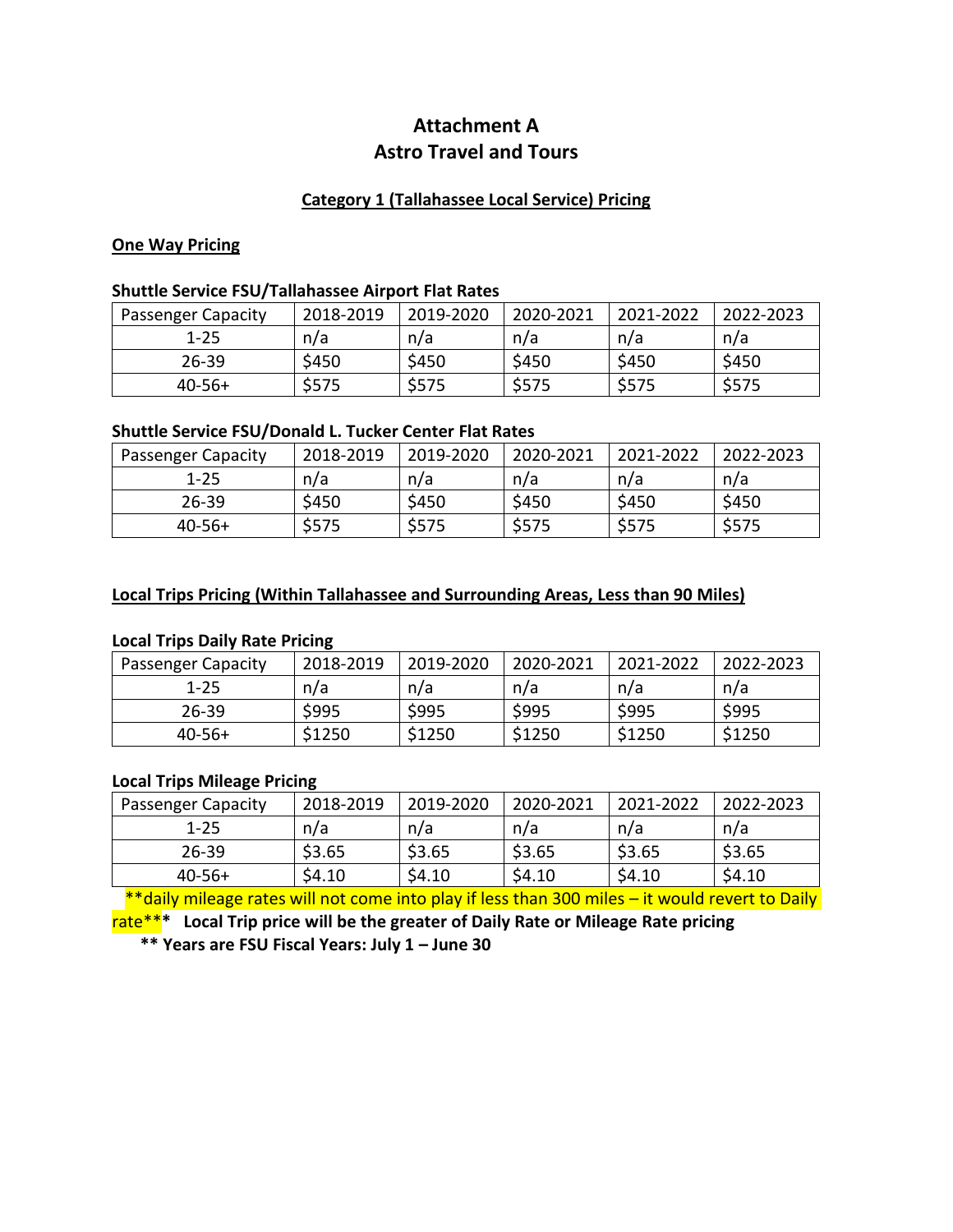# **Attachment A Astro Travel and Tours**

## **Category 1 (Tallahassee Local Service) Pricing**

### **One Way Pricing**

### **Shuttle Service FSU/Tallahassee Airport Flat Rates**

| <b>Passenger Capacity</b> | 2018-2019 | 2019-2020 | 2020-2021 | 2021-2022 | 2022-2023 |
|---------------------------|-----------|-----------|-----------|-----------|-----------|
| $1 - 25$                  | n/a       | n/a       | n/a       | n/a       | n/a       |
| $26 - 39$                 | \$450     | \$450     | \$450     | \$450     | \$450     |
| $40-56+$                  | \$575     | \$575     | \$575     | \$575     | \$575     |

### **Shuttle Service FSU/Donald L. Tucker Center Flat Rates**

| <b>Passenger Capacity</b> | 2018-2019 | 2019-2020 | 2020-2021 | 2021-2022 | 2022-2023 |
|---------------------------|-----------|-----------|-----------|-----------|-----------|
| $1 - 25$                  | n/a       | n/a       | n/a       | n/a       | n/a       |
| $26 - 39$                 | \$450     | \$450     | \$450     | \$450     | \$450     |
| $40-56+$                  | \$575     | \$575     | \$575     | \$575     | \$575     |

### **Local Trips Pricing (Within Tallahassee and Surrounding Areas, Less than 90 Miles)**

## **Local Trips Daily Rate Pricing**

| <b>Passenger Capacity</b> | 2018-2019 | 2019-2020 | 2020-2021 | 2021-2022 | 2022-2023 |
|---------------------------|-----------|-----------|-----------|-----------|-----------|
| $1 - 25$                  | n/a       | n/a       | n/a       | n/a       | n/a       |
| $26 - 39$                 | \$995     | \$995     | \$995     | \$995     | \$995     |
| $40-56+$                  | \$1250    | \$1250    | \$1250    | \$1250    | \$1250    |

### **Local Trips Mileage Pricing**

| <b>Passenger Capacity</b> | 2018-2019 | 2019-2020 | 2020-2021 | 2021-2022 | 2022-2023 |
|---------------------------|-----------|-----------|-----------|-----------|-----------|
| $1 - 25$                  | n/a       | n/a       | n/a       | n/a       | n/a       |
| $26 - 39$                 | \$3.65    | \$3.65    | \$3.65    | \$3.65    | \$3.65    |
| $40 - 56 +$               | \$4.10    | \$4.10    | \$4.10    | 54.10     | \$4.10    |

\*\*daily mileage rates will not come into play if less than 300 miles - it would revert to Daily rate\*\***\* Local Trip price will be the greater of Daily Rate or Mileage Rate pricing**

**\*\* Years are FSU Fiscal Years: July 1 – June 30**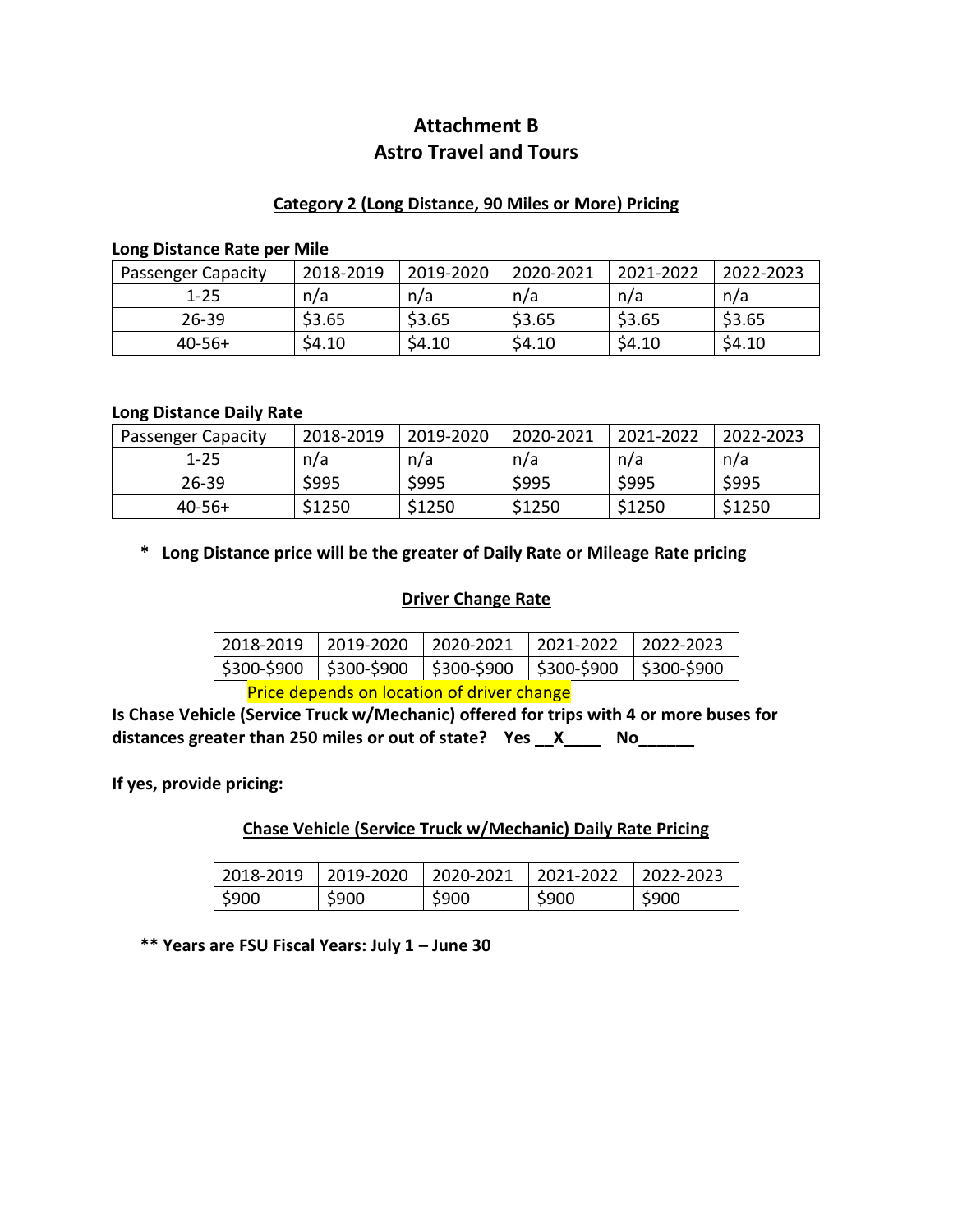# **Attachment B Astro Travel and Tours**

## **Category 2 (Long Distance, 90 Miles or More) Pricing**

#### **Long Distance Rate per Mile**

| <b>Passenger Capacity</b> | 2018-2019 | 2019-2020 | 2020-2021 | 2021-2022 | 2022-2023 |
|---------------------------|-----------|-----------|-----------|-----------|-----------|
| $1 - 25$                  | n/a       | n/a       | n/a       | n/a       | n/a       |
| $26 - 39$                 | \$3.65    | \$3.65    | \$3.65    | \$3.65    | \$3.65    |
| $40-56+$                  | \$4.10    | \$4.10    | \$4.10    | \$4.10    | \$4.10    |

### **Long Distance Daily Rate**

| <b>Passenger Capacity</b> | 2018-2019 | 2019-2020 | 2020-2021 | 2021-2022 | 2022-2023 |
|---------------------------|-----------|-----------|-----------|-----------|-----------|
| $1 - 25$                  | n/a       | n/a       | n/a       | n/a       | n/a       |
| $26 - 39$                 | \$995     | \$995     | \$995     | \$995     | \$995     |
| $40-56+$                  | \$1250    | \$1250    | \$1250    | \$1250    | \$1250    |

## **\* Long Distance price will be the greater of Daily Rate or Mileage Rate pricing**

## **Driver Change Rate**

| 2018-2019   2019-2020   2020-2021   2021-2022   2022-2023           |  |  |
|---------------------------------------------------------------------|--|--|
| \$300-\$900   \$300-\$900   \$300-\$900   \$300-\$900   \$300-\$900 |  |  |
|                                                                     |  |  |

**Price depends on location of driver change** 

**Is Chase Vehicle (Service Truck w/Mechanic) offered for trips with 4 or more buses for distances greater than 250 miles or out of state? Yes \_\_X\_\_\_\_ No\_\_\_\_\_\_**

**If yes, provide pricing:**

**Chase Vehicle (Service Truck w/Mechanic) Daily Rate Pricing**

| 2018-2019   2019-2020   2020-2021   2021-2022   2022-2023 |       |       |       |       |
|-----------------------------------------------------------|-------|-------|-------|-------|
| \$900                                                     | \$900 | \$900 | \$900 | \$900 |

**\*\* Years are FSU Fiscal Years: July 1 – June 30**